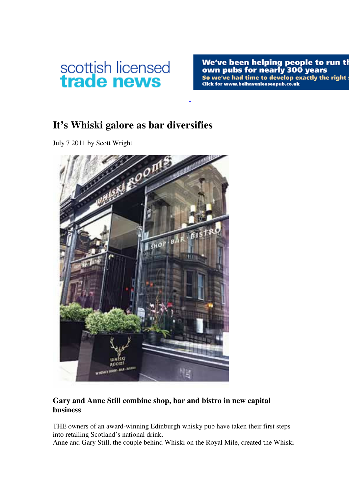

We've been helping people to run thown pubs for nearly 300 years<br>So we've had time to develop exactly the right solick for www.belhavenleaseapub.co.uk

## **It's Whiski galore as bar diversifies**

July 7 2011 by Scott Wright



## **Gary and Anne Still combine shop, bar and bistro in new capital business**

THE owners of an award-winning Edinburgh whisky pub have taken their first steps into retailing Scotland's national drink.

Anne and Gary Still, the couple behind Whiski on the Royal Mile, created the Whiski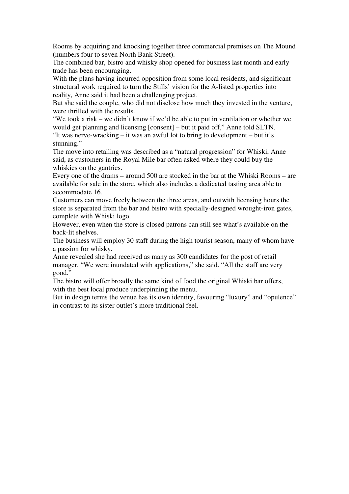Rooms by acquiring and knocking together three commercial premises on The Mound (numbers four to seven North Bank Street).

The combined bar, bistro and whisky shop opened for business last month and early trade has been encouraging.

With the plans having incurred opposition from some local residents, and significant structural work required to turn the Stills' vision for the A-listed properties into reality, Anne said it had been a challenging project.

But she said the couple, who did not disclose how much they invested in the venture, were thrilled with the results.

"We took a risk – we didn't know if we'd be able to put in ventilation or whether we would get planning and licensing [consent] – but it paid off," Anne told SLTN.

"It was nerve-wracking – it was an awful lot to bring to development – but it's stunning."

The move into retailing was described as a "natural progression" for Whiski, Anne said, as customers in the Royal Mile bar often asked where they could buy the whiskies on the gantries.

Every one of the drams – around 500 are stocked in the bar at the Whiski Rooms – are available for sale in the store, which also includes a dedicated tasting area able to accommodate 16.

Customers can move freely between the three areas, and outwith licensing hours the store is separated from the bar and bistro with specially-designed wrought-iron gates, complete with Whiski logo.

However, even when the store is closed patrons can still see what's available on the back-lit shelves.

The business will employ 30 staff during the high tourist season, many of whom have a passion for whisky.

Anne revealed she had received as many as 300 candidates for the post of retail manager. "We were inundated with applications," she said. "All the staff are very good."

The bistro will offer broadly the same kind of food the original Whiski bar offers, with the best local produce underpinning the menu.

But in design terms the venue has its own identity, favouring "luxury" and "opulence" in contrast to its sister outlet's more traditional feel.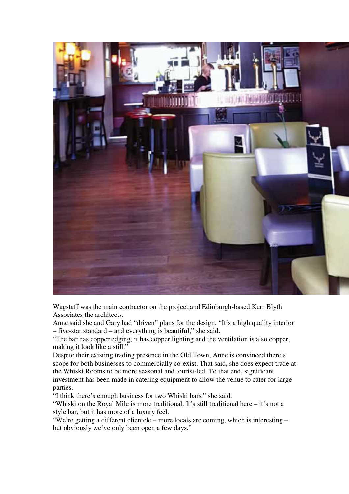

Wagstaff was the main contractor on the project and Edinburgh-based Kerr Blyth Associates the architects.

Anne said she and Gary had "driven" plans for the design. "It's a high quality interior – five-star standard – and everything is beautiful," she said.

"The bar has copper edging, it has copper lighting and the ventilation is also copper, making it look like a still."

Despite their existing trading presence in the Old Town, Anne is convinced there's scope for both businesses to commercially co-exist. That said, she does expect trade at the Whiski Rooms to be more seasonal and tourist-led. To that end, significant investment has been made in catering equipment to allow the venue to cater for large parties.

"I think there's enough business for two Whiski bars," she said.

"Whiski on the Royal Mile is more traditional. It's still traditional here – it's not a style bar, but it has more of a luxury feel.

"We're getting a different clientele – more locals are coming, which is interesting – but obviously we've only been open a few days."